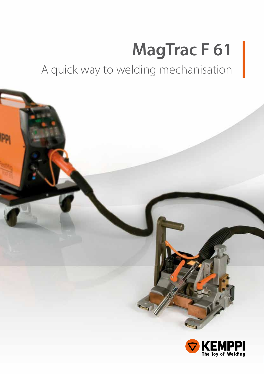# **MagTrac F 61**

A quick way to welding mechanisation

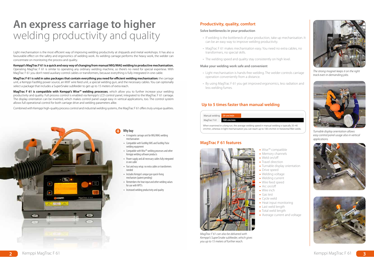Light mechanisation is the most efficient way of improving welding productivity at shipyards and metal workshops. It has also a favourable effect on the safety and ergonomics of welding work. As welding carriage performs the heavy work, the welder can concentrate on monitoring the process and quality.

**Kemppi's MagTrac F 61 is a quick and easy way of changing from manual MIG/MAG welding to productive mechanisation.** Operating MagTrac F 61 is similar to operating any ordinary welding machine, so there's no need for special expertese. With MagTrac F 61 you don't need auxiliary control cables or transformers, because everything is fully integrated in one cable.

## **An express carriage to higher Welding productivity and quality Solve bottlenecks in your production**<br> **Solve bottleneck of your production**<br> **Solve bottleneck of your production**

**MagTrac F 61 is sold in sales packages that contain everything you need for efficient welding mechanisation:** the carriage unit, a Kemppi FastMig power source, an MXF wire feed unit, a special welding gun, and the necessary cables. You can optionally select a package that includes a SuperSnake subfeeder to get up to 15 meters of extra reach.

- Light mechanisation is hands-free welding. The welder controls carriage operation conveniently from a distance.
- By using MagTrac F 61 you get improved ergonomics, less radiation and less welding fumes.

- • A magnetic carriage unit for MIG/MAG welding mechanisation
- • Compatible with FastMig KMS and FastMig Pulse welding equipment
- • Compatible with Wise™ welding processes and other Kemppi welding software products
- Power supply and all necessary cables fully integrated in one cable
- Fast and easy setup: no extra cables or transformers needed
- Includes Kemppi's unique qun quick-fixing mechanism (patent pending)
- Remembers the heat input and other welding values for use with WPS's
- Increased welding productivity and quality

**MagTrac F 61 is compatible with Kemppi's Wise™ welding processes**, which allow you to further increase your welding productivity and quality. Full process control is enabled via Kemppi's LCD control panel, integrated to the MagTrac F 61 carriage. The display orientation can be inverted, which makes control panel usage easy in vertical applications, too. The control system allows full operational control for both carriage drive and welding parameters alike.

- Wise™ compatible
- Memory channels
- Weld on/off
- Travel direction
- 
- Drive speed
- Welding voltage Welding current
- Wire feed speed
- Arc on/off
- Wire inch
- Gas test
- Cycle weld
- Heat input monitoring
- Last weld length
- Total weld length
- 

Combined with Kemppi high-quality process control and industrial welding systems, the MagTrac F 61 offers truly unique qualities.



#### **Make your welding work safe and convenient**

*MagTrac F 61 can also be delivered with Kemppi's SuperSnake subfeeder, which gives you up to 15 meters of further reach.* 

#### **Productivity, quality, comfort**

- If welding is the bottleneck of your production, take up mechanisation. It can be an easy way to improve welding productivity.
- MagTrac F 61 makes mechanisation easy. You need no extra cables, no transformers, no special skills.
- The welding speed and quality stay consistently on high level.



*The strong magnet keeps it on the right track even in demanding jobs.*

#### Why buy

#### **MagTrac F 61 features**



Turnable display orientation

Average current and voltage

| Manual welding 20 cm/min |            |  |
|--------------------------|------------|--|
| MagTrac F 61             | 100 cm/min |  |
|                          |            |  |

When examined in a long run, the average welding speed in manual welding is typically 20–40 cm/min, whereas in light mechanisation you can reach up to 100 cm/min in horizontal fillet welds.

#### **Up to 5 times faster than manual welding**



*Turnable display orientation allows easy control panel usage also in vertical applications.*